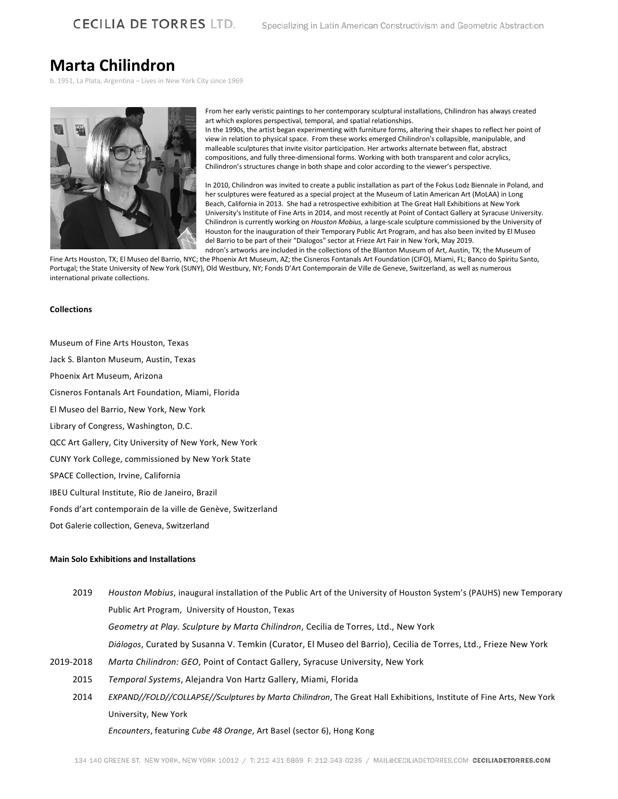# **Marta Chilindron**

b. 1951, La Plata, Argentina – Lives in New York City since 1969



From her early veristic paintings to her contemporary sculptural installations, Chilindron has always created art which explores perspectival, temporal, and spatial relationships.

In the 1990s, the artist began experimenting with furniture forms, altering their shapes to reflect her point of view in relation to physical space. From these works emerged Chilindron's collapsible, manipulable, and malleable sculptures that invite visitor participation. Her artworks alternate between flat, abstract compositions, and fully three-dimensional forms. Working with both transparent and color acrylics, Chilindron's structures change in both shape and color according to the viewer's perspective.

In 2010, Chilindron was invited to create a public installation as part of the Fokus Lodz Biennale in Poland, and her sculptures were featured as a special project at the Museum of Latin American Art (MoLAA) in Long Beach, California in 2013. She had a retrospective exhibition at The Great Hall Exhibitions at New York University's Institute of Fine Arts in 2014, and most recently at Point of Contact Gallery at Syracuse University. Chilindron is currently working on *Houston Mobius,* a large-scale sculpture commissioned by the University of Houston for the inauguration of their Temporary Public Art Program, and has also been invited by El Museo del Barrio to be part of their "Dialogos" sector at Frieze Art Fair in New York, May 2019. ndron's artworks are included in the collections of the Blanton Museum of Art, Austin, TX; the Museum of

Fine Arts Houston, TX; El Museo del Barrio, NYC; the Phoenix Art Museum, AZ; the Cisneros Fontanals Art Foundation (CIFO), Miami, FL; Banco do Spiritu Santo, Portugal; the State University of New York (SUNY), Old Westbury, NY; Fonds D'Art Contemporain de Ville de Geneve, Switzerland, as well as numerous international private collections.

#### **Collections**

Museum of Fine Arts Houston, Texas Jack S. Blanton Museum, Austin, Texas Phoenix Art Museum, Arizona Cisneros Fontanals Art Foundation, Miami, Florida El Museo del Barrio, New York, New York Library of Congress, Washington, D.C. QCC Art Gallery, City University of New York, New York CUNY York College, commissioned by New York State SPACE Collection, Irvine, California IBEU Cultural Institute, Rio de Janeiro, Brazil Fonds d'art contemporain de la ville de Genève, Switzerland

Dot Galerie collection, Geneva, Switzerland

# **Main Solo Exhibitions and Installations**

- 2019 *Houston Mobius*, inaugural installation of the Public Art of the University of Houston System's (PAUHS) new Temporary Public Art Program, University of Houston, Texas *Geometry at Play. Sculpture by Marta Chilindron*, Cecilia de Torres, Ltd., New York *Diálogos*, Curated by Susanna V. Temkin (Curator, El Museo del Barrio), Cecilia de Torres, Ltd., Frieze New York 2019-2018 *Marta Chilindron: GEO*, Point of Contact Gallery, Syracuse University, New York 2015 *Temporal Systems*, Alejandra Von Hartz Gallery, Miami, Florida
	- 2014 *EXPAND//FOLD//COLLAPSE//Sculptures by Marta Chilindron*, The Great Hall Exhibitions, Institute of Fine Arts, New York University, New York

*Encounters*, featuring *Cube 48 Orange*, Art Basel (sector 6), Hong Kong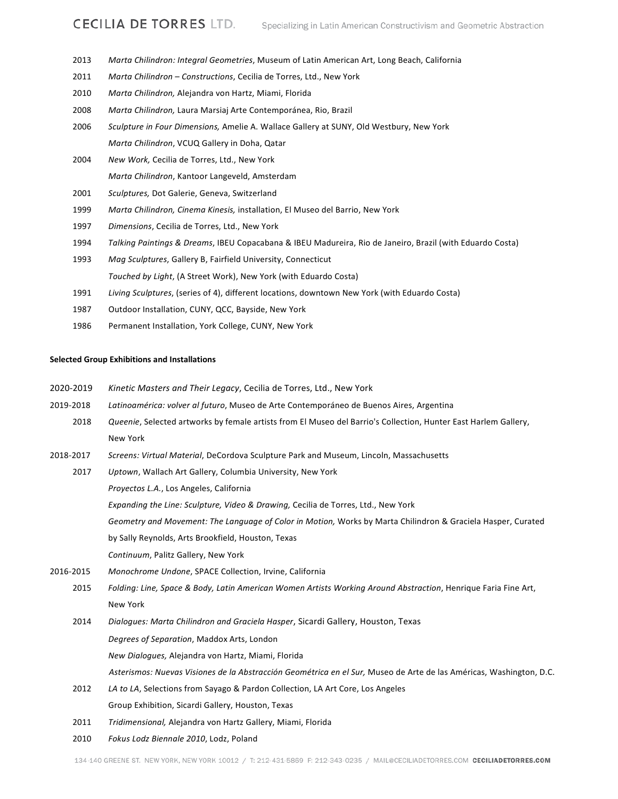- 2013 *Marta Chilindron: Integral Geometries*, Museum of Latin American Art, Long Beach, California
- 2011 *Marta Chilindron – Constructions*, Cecilia de Torres, Ltd., New York
- 2010 *Marta Chilindron,* Alejandra von Hartz, Miami, Florida
- 2008 *Marta Chilindron,* Laura Marsiaj Arte Contemporánea, Rio, Brazil
- 2006 *Sculpture in Four Dimensions,* Amelie A. Wallace Gallery at SUNY, Old Westbury, New York *Marta Chilindron*, VCUQ Gallery in Doha, Qatar
- 2004 *New Work,* Cecilia de Torres, Ltd., New York *Marta Chilindron*, Kantoor Langeveld, Amsterdam
- 2001 *Sculptures,* Dot Galerie, Geneva, Switzerland
- 1999 *Marta Chilindron, Cinema Kinesis,* installation, El Museo del Barrio, New York
- 1997 *Dimensions*, Cecilia de Torres, Ltd., New York
- 1994 *Talking Paintings & Dreams*, IBEU Copacabana & IBEU Madureira, Rio de Janeiro, Brazil (with Eduardo Costa)
- 1993 *Mag Sculptures*, Gallery B, Fairfield University, Connecticut *Touched by Light*, (A Street Work), New York (with Eduardo Costa)
- 1991 *Living Sculptures*, (series of 4), different locations, downtown New York (with Eduardo Costa)
- 1987 Outdoor Installation, CUNY, QCC, Bayside, New York
- 1986 Permanent Installation, York College, CUNY, New York

### **Selected Group Exhibitions and Installations**

- 2020-2019 *Kinetic Masters and Their Legacy*, Cecilia de Torres, Ltd., New York
- 2019-2018 *Latinoamérica: volver al futuro*, Museo de Arte Contemporáneo de Buenos Aires, Argentina
- 2018 *Queenie*, Selected artworks by female artists from El Museo del Barrio's Collection, Hunter East Harlem Gallery, New York
- 2018-2017 *Screens: Virtual Material*, DeCordova Sculpture Park and Museum, Lincoln, Massachusetts
	- 2017 *Uptown*, Wallach Art Gallery, Columbia University, New York

*Proyectos L.A.*, Los Angeles, California

*Expanding the Line: Sculpture, Video & Drawing,* Cecilia de Torres, Ltd., New York

*Geometry and Movement: The Language of Color in Motion,* Works by Marta Chilindron & Graciela Hasper, Curated

by Sally Reynolds, Arts Brookfield, Houston, Texas

*Continuum*, Palitz Gallery, New York

- 2016-2015 *Monochrome Undone*, SPACE Collection, Irvine, California
	- 2015 *Folding: Line, Space & Body, Latin American Women Artists Working Around Abstraction*, Henrique Faria Fine Art, New York
	- 2014 *Dialogues: Marta Chilindron and Graciela Hasper*, Sicardi Gallery, Houston, Texas *Degrees of Separation*, Maddox Arts, London *New Dialogues,* Alejandra von Hartz, Miami, Florida *Asterismos: Nuevas Visiones de la Abstracción Geométrica en el Sur,* Museo de Arte de las Américas, Washington, D.C.
	- 2012 *LA to LA*, Selections from Sayago & Pardon Collection, LA Art Core, Los Angeles Group Exhibition, Sicardi Gallery, Houston, Texas
	- 2011 *Tridimensional,* Alejandra von Hartz Gallery, Miami, Florida
	- 2010 *Fokus Lodz Biennale 2010*, Lodz, Poland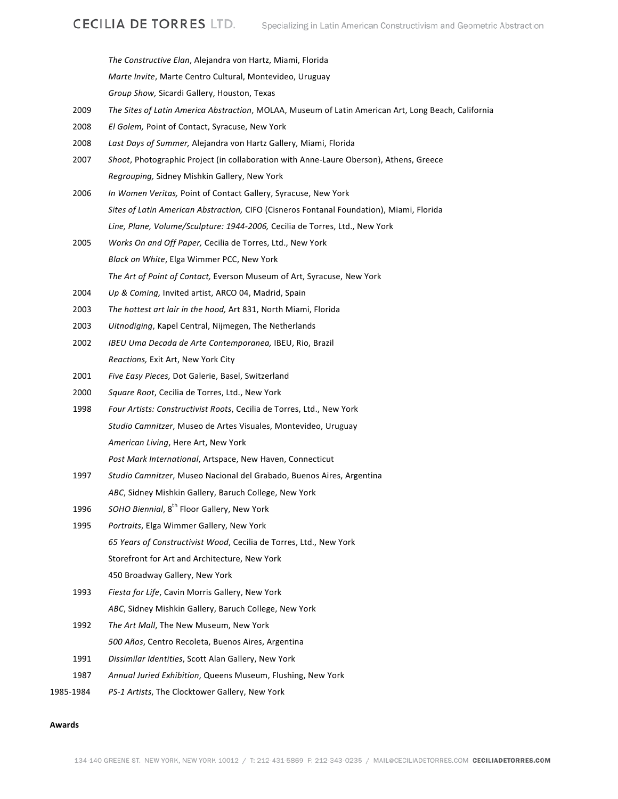*The Constructive Elan*, Alejandra von Hartz, Miami, Florida *Marte Invite*, Marte Centro Cultural, Montevideo, Uruguay *Group Show,* Sicardi Gallery, Houston, Texas

- 2009 *The Sites of Latin America Abstraction*, MOLAA, Museum of Latin American Art, Long Beach, California
- 2008 *El Golem,* Point of Contact, Syracuse, New York
- 2008 *Last Days of Summer,* Alejandra von Hartz Gallery, Miami, Florida
- 2007 *Shoot*, Photographic Project (in collaboration with Anne-Laure Oberson), Athens, Greece *Regrouping,* Sidney Mishkin Gallery, New York
- 2006 *In Women Veritas,* Point of Contact Gallery, Syracuse, New York *Sites of Latin American Abstraction,* CIFO (Cisneros Fontanal Foundation), Miami, Florida *Line, Plane, Volume/Sculpture: 1944-2006,* Cecilia de Torres, Ltd., New York
- 2005 *Works On and Off Paper,* Cecilia de Torres, Ltd., New York *Black on White*, Elga Wimmer PCC, New York *The Art of Point of Contact,* Everson Museum of Art, Syracuse, New York
- 2004 *Up & Coming,* Invited artist, ARCO 04, Madrid, Spain
- 2003 *The hottest art lair in the hood,* Art 831, North Miami, Florida
- 2003 *Uitnodiging*, Kapel Central, Nijmegen, The Netherlands
- 2002 *IBEU Uma Decada de Arte Contemporanea,* IBEU, Rio, Brazil *Reactions,* Exit Art, New York City
- 2001 *Five Easy Pieces,* Dot Galerie, Basel, Switzerland
- 2000 *Square Root*, Cecilia de Torres, Ltd., New York
- 1998 *Four Artists: Constructivist Roots*, Cecilia de Torres, Ltd., New York *Studio Camnitzer*, Museo de Artes Visuales, Montevideo, Uruguay *American Living*, Here Art, New York *Post Mark International*, Artspace, New Haven, Connecticut
- 1997 *Studio Camnitzer*, Museo Nacional del Grabado, Buenos Aires, Argentina *ABC*, Sidney Mishkin Gallery, Baruch College, New York
- 1996 SOHO Biennial, 8<sup>th</sup> Floor Gallery, New York
- 1995 *Portraits*, Elga Wimmer Gallery, New York *65 Years of Constructivist Wood*, Cecilia de Torres, Ltd., New York Storefront for Art and Architecture, New York 450 Broadway Gallery, New York
- 1993 *Fiesta for Life*, Cavin Morris Gallery, New York *ABC*, Sidney Mishkin Gallery, Baruch College, New York
- 1992 *The Art Mall*, The New Museum, New York *500 Años*, Centro Recoleta, Buenos Aires, Argentina
- 1991 *Dissimilar Identities*, Scott Alan Gallery, New York
- 1987 *Annual Juried Exhibition*, Queens Museum, Flushing, New York
- 1985-1984 *PS-1 Artists*, The Clocktower Gallery, New York

#### **Awards**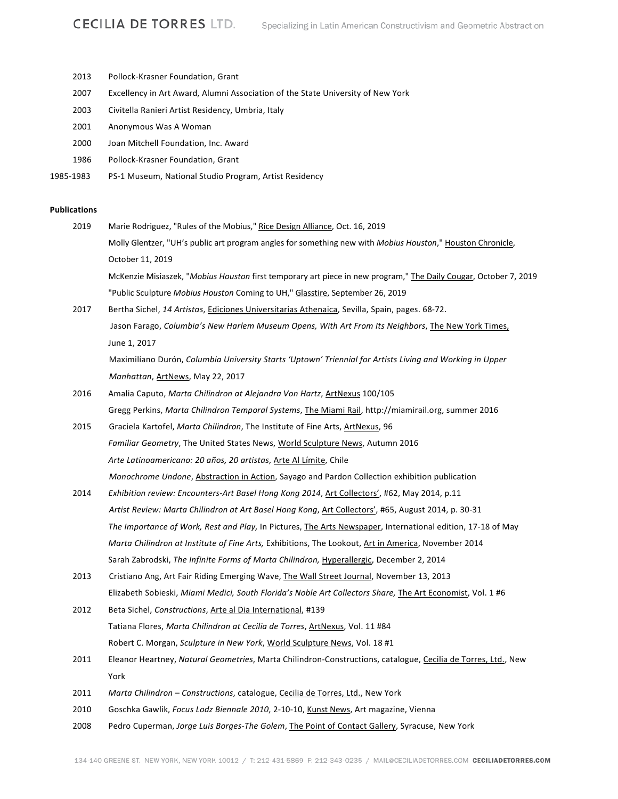| 2013                | Pollock-Krasner Foundation, Grant                                                                                |
|---------------------|------------------------------------------------------------------------------------------------------------------|
| 2007                | Excellency in Art Award, Alumni Association of the State University of New York                                  |
| 2003                | Civitella Ranieri Artist Residency, Umbria, Italy                                                                |
| 2001                | Anonymous Was A Woman                                                                                            |
| 2000                | Joan Mitchell Foundation, Inc. Award                                                                             |
| 1986                | Pollock-Krasner Foundation, Grant                                                                                |
| 1985-1983           | PS-1 Museum, National Studio Program, Artist Residency                                                           |
| <b>Publications</b> |                                                                                                                  |
| 2019                | Marie Rodriguez, "Rules of the Mobius," Rice Design Alliance, Oct. 16, 2019                                      |
|                     | Molly Glentzer, "UH's public art program angles for something new with Mobius Houston," Houston Chronicle,       |
|                     | October 11, 2019                                                                                                 |
|                     | McKenzie Misiaszek, "Mobius Houston first temporary art piece in new program," The Daily Cougar, October 7, 2019 |
|                     | "Public Sculpture Mobius Houston Coming to UH," Glasstire, September 26, 2019                                    |
| 2017                | Bertha Sichel, 14 Artistas, Ediciones Universitarias Athenaica, Sevilla, Spain, pages. 68-72.                    |
|                     | Jason Farago, Columbia's New Harlem Museum Opens, With Art From Its Neighbors, The New York Times,               |
|                     | June 1, 2017                                                                                                     |
|                     | Maximilíano Durón, Columbia University Starts 'Uptown' Triennial for Artists Living and Working in Upper         |
|                     | Manhattan, ArtNews, May 22, 2017                                                                                 |
| 2016                | Amalia Caputo, Marta Chilindron at Alejandra Von Hartz, ArtNexus 100/105                                         |
|                     | Gregg Perkins, Marta Chilindron Temporal Systems, The Miami Rail, http://miamirail.org, summer 2016              |
| 2015                | Graciela Kartofel, Marta Chilindron, The Institute of Fine Arts, ArtNexus, 96                                    |
|                     | Familiar Geometry, The United States News, World Sculpture News, Autumn 2016                                     |
|                     | Arte Latinoamericano: 20 años, 20 artistas, Arte Al Límite, Chile                                                |
|                     | Monochrome Undone, Abstraction in Action, Sayago and Pardon Collection exhibition publication                    |
| 2014                | Exhibition review: Encounters-Art Basel Hong Kong 2014, Art Collectors', #62, May 2014, p.11                     |
|                     | Artist Review: Marta Chilindron at Art Basel Hong Kong, Art Collectors', #65, August 2014, p. 30-31              |
|                     | The Importance of Work, Rest and Play, In Pictures, The Arts Newspaper, International edition, 17-18 of May      |
|                     | Marta Chilindron at Institute of Fine Arts, Exhibitions, The Lookout, Art in America, November 2014              |
|                     | Sarah Zabrodski, The Infinite Forms of Marta Chilindron, Hyperallergic, December 2, 2014                         |
| 2013                | Cristiano Ang, Art Fair Riding Emerging Wave, The Wall Street Journal, November 13, 2013                         |
|                     | Elizabeth Sobieski, Miami Medici, South Florida's Noble Art Collectors Share, The Art Economist, Vol. 1 #6       |
| 2012                | Beta Sichel, Constructions, Arte al Dia International, #139                                                      |
|                     | Tatiana Flores, Marta Chilindron at Cecilia de Torres, ArtNexus, Vol. 11 #84                                     |
|                     | Robert C. Morgan, Sculpture in New York, World Sculpture News, Vol. 18 #1                                        |
| 2011                | Eleanor Heartney, Natural Geometries, Marta Chilindron-Constructions, catalogue, Cecilia de Torres, Ltd., New    |
|                     | York                                                                                                             |
| 2011                | Marta Chilindron - Constructions, catalogue, Cecilia de Torres, Ltd., New York                                   |
| 2010                | Goschka Gawlik, Focus Lodz Biennale 2010, 2-10-10, Kunst News, Art magazine, Vienna                              |
| 2008                | Pedro Cuperman, Jorge Luis Borges-The Golem, The Point of Contact Gallery, Syracuse, New York                    |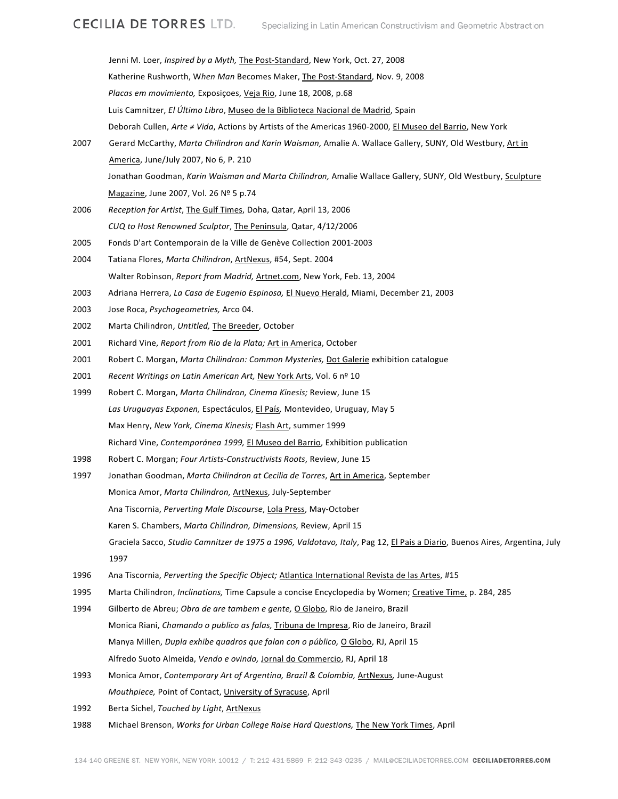|      | Jenni M. Loer, Inspired by a Myth, The Post-Standard, New York, Oct. 27, 2008                                              |
|------|----------------------------------------------------------------------------------------------------------------------------|
|      | Katherine Rushworth, When Man Becomes Maker, The Post-Standard, Nov. 9, 2008                                               |
|      | Placas em movimiento, Exposições, Veja Rio, June 18, 2008, p.68                                                            |
|      | Luis Camnitzer, El Último Libro, Museo de la Biblioteca Nacional de Madrid, Spain                                          |
|      | Deborah Cullen, Arte ≠ Vida, Actions by Artists of the Americas 1960-2000, El Museo del Barrio, New York                   |
| 2007 | Gerard McCarthy, Marta Chilindron and Karin Waisman, Amalie A. Wallace Gallery, SUNY, Old Westbury, Art in                 |
|      | America, June/July 2007, No 6, P. 210                                                                                      |
|      | Jonathan Goodman, Karin Waisman and Marta Chilindron, Amalie Wallace Gallery, SUNY, Old Westbury, Sculpture                |
|      | Magazine, June 2007, Vol. 26 Nº 5 p.74                                                                                     |
| 2006 | Reception for Artist, The Gulf Times, Doha, Qatar, April 13, 2006                                                          |
|      | CUQ to Host Renowned Sculptor, The Peninsula, Qatar, 4/12/2006                                                             |
| 2005 | Fonds D'art Contemporain de la Ville de Genève Collection 2001-2003                                                        |
| 2004 | Tatiana Flores, Marta Chilindron, ArtNexus, #54, Sept. 2004                                                                |
|      | Walter Robinson, Report from Madrid, Artnet.com, New York, Feb. 13, 2004                                                   |
| 2003 | Adriana Herrera, La Casa de Eugenio Espinosa, El Nuevo Herald, Miami, December 21, 2003                                    |
| 2003 | Jose Roca, Psychogeometries, Arco 04.                                                                                      |
| 2002 | Marta Chilindron, Untitled, The Breeder, October                                                                           |
| 2001 | Richard Vine, Report from Rio de la Plata; Art in America, October                                                         |
| 2001 | Robert C. Morgan, Marta Chilindron: Common Mysteries, Dot Galerie exhibition catalogue                                     |
| 2001 | Recent Writings on Latin American Art, New York Arts, Vol. 6 nº 10                                                         |
| 1999 | Robert C. Morgan, Marta Chilindron, Cinema Kinesis; Review, June 15                                                        |
|      | Las Uruguayas Exponen, Espectáculos, El País, Montevideo, Uruguay, May 5                                                   |
|      | Max Henry, New York, Cinema Kinesis; Flash Art, summer 1999                                                                |
|      | Richard Vine, Contemporánea 1999, El Museo del Barrio, Exhibition publication                                              |
| 1998 | Robert C. Morgan; Four Artists-Constructivists Roots, Review, June 15                                                      |
| 1997 | Jonathan Goodman, Marta Chilindron at Cecilia de Torres, Art in America, September                                         |
|      | Monica Amor, Marta Chilindron, ArtNexus, July-September                                                                    |
|      | Ana Tiscornia, Perverting Male Discourse, Lola Press, May-October                                                          |
|      | Karen S. Chambers, Marta Chilindron, Dimensions, Review, April 15                                                          |
|      | Graciela Sacco, Studio Camnitzer de 1975 a 1996, Valdotavo, Italy, Pag 12, El Pais a Diario, Buenos Aires, Argentina, July |
|      | 1997                                                                                                                       |
| 1996 | Ana Tiscornia, Perverting the Specific Object; Atlantica International Revista de las Artes, #15                           |
| 1995 | Marta Chilindron, Inclinations, Time Capsule a concise Encyclopedia by Women; Creative Time, p. 284, 285                   |
| 1994 | Gilberto de Abreu; Obra de are tambem e gente, O Globo, Rio de Janeiro, Brazil                                             |
|      | Monica Riani, Chamando o publico as falas, <i>Tribuna de Impresa</i> , Rio de Janeiro, Brazil                              |
|      | Manya Millen, Dupla exhibe quadros que falan con o público, O Globo, RJ, April 15                                          |
|      | Alfredo Suoto Almeida, Vendo e ovindo, Jornal do Commercio, RJ, April 18                                                   |
| 1993 | Monica Amor, Contemporary Art of Argentina, Brazil & Colombia, ArtNexus, June-August                                       |
|      | Mouthpiece, Point of Contact, University of Syracuse, April                                                                |

- 1992 Berta Sichel, *Touched by Light*, ArtNexus
- 1988 Michael Brenson, *Works for Urban College Raise Hard Questions,* The New York Times, April